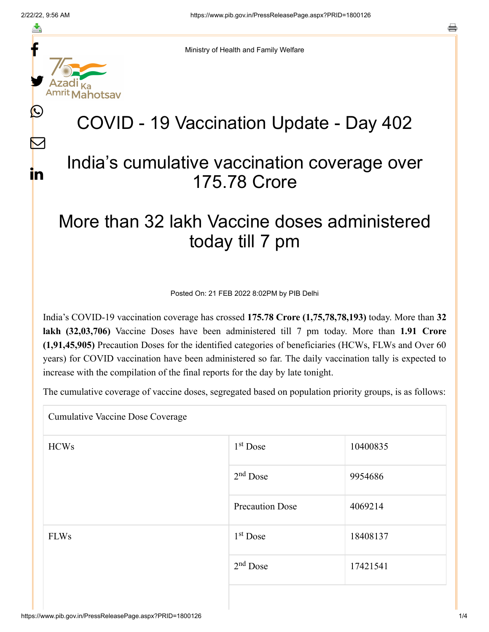f

≛

y.

 $\bm{\mathbb{C}}$ 

 $\sum$ 

in

Ministry of Health and Family Welfare

# COVID - 19 Vaccination Update - Day 402

### India's cumulative vaccination coverage over 175.78 Crore

## More than 32 lakh Vaccine doses administered today till 7 pm

Posted On: 21 FEB 2022 8:02PM by PIB Delhi

India's COVID-19 vaccination coverage has crossed **175.78 Crore (1,75,78,78,193)** today. More than **32 lakh (32,03,706)** Vaccine Doses have been administered till 7 pm today. More than **1.91 Crore (1,91,45,905)** Precaution Doses for the identified categories of beneficiaries (HCWs, FLWs and Over 60 years) for COVID vaccination have been administered so far. The daily vaccination tally is expected to increase with the compilation of the final reports for the day by late tonight.

The cumulative coverage of vaccine doses, segregated based on population priority groups, is as follows:

Cumulative Vaccine Dose Coverage

| <b>HCWs</b> | $1st$ Dose             | 10400835 |
|-------------|------------------------|----------|
|             | $2nd$ Dose             | 9954686  |
|             | <b>Precaution Dose</b> | 4069214  |
| <b>FLWs</b> | $1st$ Dose             | 18408137 |
|             | $2nd$ Dose             | 17421541 |
|             |                        |          |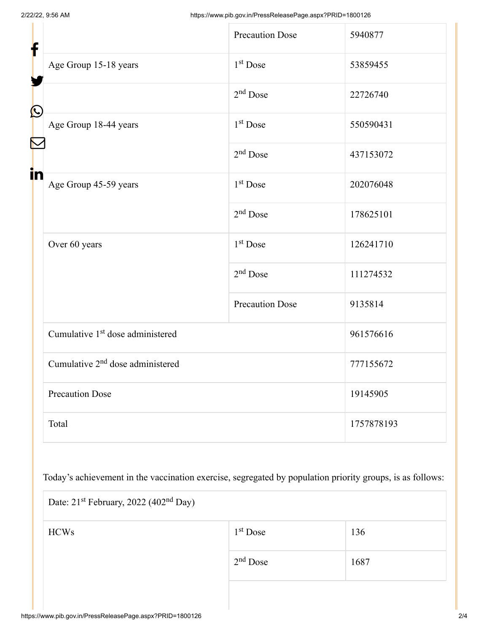| f            |                                              | <b>Precaution Dose</b> | 5940877    |  |
|--------------|----------------------------------------------|------------------------|------------|--|
|              | Age Group 15-18 years                        | 1 <sup>st</sup> Dose   | 53859455   |  |
| $\bf \Omega$ |                                              | $2nd$ Dose             | 22726740   |  |
|              | Age Group 18-44 years                        | 1 <sup>st</sup> Dose   | 550590431  |  |
|              |                                              | $2nd$ Dose             | 437153072  |  |
| in           | Age Group 45-59 years                        | 1 <sup>st</sup> Dose   | 202076048  |  |
|              |                                              | $2nd$ Dose             | 178625101  |  |
|              | Over 60 years                                | 1 <sup>st</sup> Dose   | 126241710  |  |
|              |                                              | $2nd$ Dose             | 111274532  |  |
|              |                                              | <b>Precaution Dose</b> | 9135814    |  |
|              | Cumulative 1 <sup>st</sup> dose administered |                        | 961576616  |  |
|              | Cumulative 2 <sup>nd</sup> dose administered |                        | 777155672  |  |
|              | <b>Precaution Dose</b>                       |                        | 19145905   |  |
|              | Total                                        |                        | 1757878193 |  |

Today's achievement in the vaccination exercise, segregated by population priority groups, is as follows:

| Date: 21 <sup>st</sup> February, 2022 (402 <sup>nd</sup> Day) |            |      |  |  |
|---------------------------------------------------------------|------------|------|--|--|
| <b>HCWs</b>                                                   | $1st$ Dose | 136  |  |  |
|                                                               | $2nd$ Dose | 1687 |  |  |
|                                                               |            |      |  |  |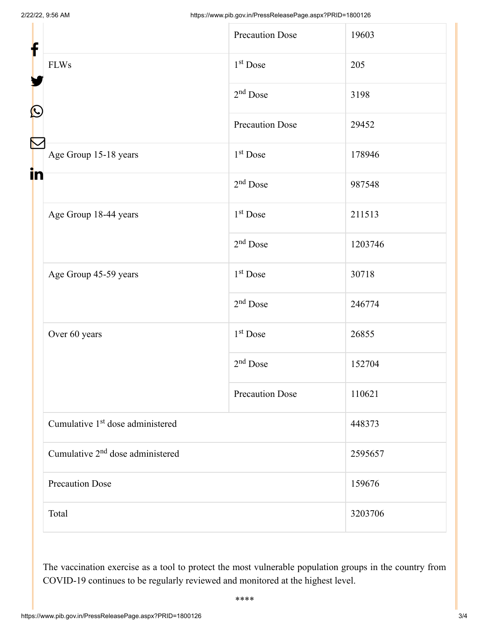| f            |                                              | <b>Precaution Dose</b> | 19603   |
|--------------|----------------------------------------------|------------------------|---------|
|              | <b>FLWs</b>                                  | 1 <sup>st</sup> Dose   | 205     |
| $\bf \Omega$ |                                              | $2nd$ Dose             | 3198    |
|              |                                              | <b>Precaution Dose</b> | 29452   |
| Ñ            | Age Group 15-18 years                        | 1 <sup>st</sup> Dose   | 178946  |
| in           |                                              | $2nd$ Dose             | 987548  |
|              | Age Group 18-44 years                        | 1 <sup>st</sup> Dose   | 211513  |
|              |                                              | $2nd$ Dose             | 1203746 |
|              | Age Group 45-59 years                        | 1 <sup>st</sup> Dose   | 30718   |
|              |                                              | $2nd$ Dose             | 246774  |
|              | Over 60 years                                | 1 <sup>st</sup> Dose   | 26855   |
|              |                                              | $2nd$ Dose             | 152704  |
|              |                                              | <b>Precaution Dose</b> | 110621  |
|              | Cumulative 1 <sup>st</sup> dose administered |                        | 448373  |
|              | Cumulative 2 <sup>nd</sup> dose administered |                        | 2595657 |
|              | <b>Precaution Dose</b>                       |                        | 159676  |
|              | Total                                        |                        | 3203706 |

The vaccination exercise as a tool to protect the most vulnerable population groups in the country from COVID-19 continues to be regularly reviewed and monitored at the highest level.